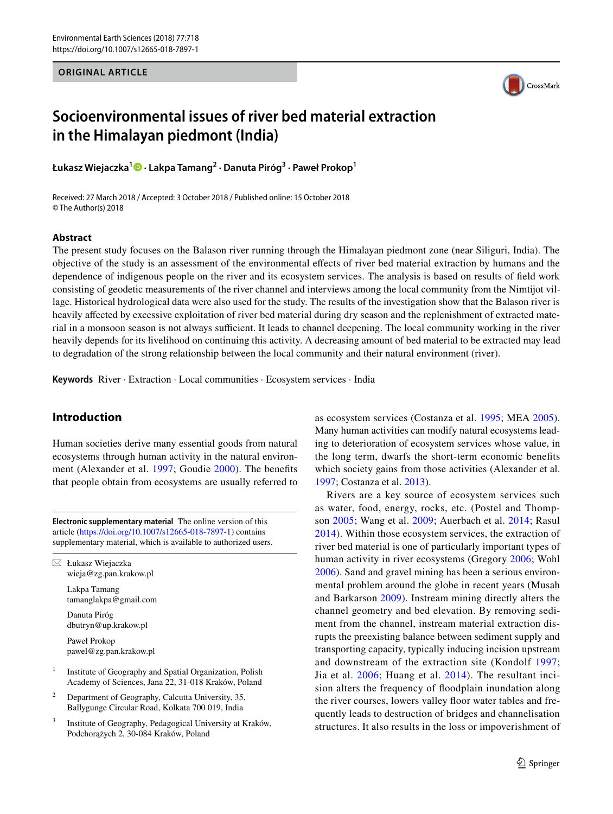**ORIGINAL ARTICLE**



# **Socioenvironmental issues of river bed material extraction in the Himalayan piedmont (India)**

**Łukasz Wiejaczka1 · Lakpa Tamang2 · Danuta Piróg3 · Paweł Prokop1**

Received: 27 March 2018 / Accepted: 3 October 2018 / Published online: 15 October 2018 © The Author(s) 2018

#### **Abstract**

The present study focuses on the Balason river running through the Himalayan piedmont zone (near Siliguri, India). The objective of the study is an assessment of the environmental effects of river bed material extraction by humans and the dependence of indigenous people on the river and its ecosystem services. The analysis is based on results of field work consisting of geodetic measurements of the river channel and interviews among the local community from the Nimtijot village. Historical hydrological data were also used for the study. The results of the investigation show that the Balason river is heavily affected by excessive exploitation of river bed material during dry season and the replenishment of extracted material in a monsoon season is not always sufficient. It leads to channel deepening. The local community working in the river heavily depends for its livelihood on continuing this activity. A decreasing amount of bed material to be extracted may lead to degradation of the strong relationship between the local community and their natural environment (river).

**Keywords** River · Extraction · Local communities · Ecosystem services · India

## **Introduction**

Human societies derive many essential goods from natural ecosystems through human activity in the natural environment (Alexander et al. [1997;](#page-7-0) Goudie [2000\)](#page-8-0). The benefits that people obtain from ecosystems are usually referred to

**Electronic supplementary material** The online version of this article [\(https://doi.org/10.1007/s12665-018-7897-1\)](https://doi.org/10.1007/s12665-018-7897-1) contains supplementary material, which is available to authorized users.

 $\boxtimes$  Łukasz Wiejaczka wieja@zg.pan.krakow.pl Lakpa Tamang tamanglakpa@gmail.com Danuta Piróg dbutryn@up.krakow.pl Paweł Prokop pawel@zg.pan.krakow.pl

- <sup>1</sup> Institute of Geography and Spatial Organization, Polish Academy of Sciences, Jana 22, 31-018 Kraków, Poland
- <sup>2</sup> Department of Geography, Calcutta University, 35, Ballygunge Circular Road, Kolkata 700 019, India
- <sup>3</sup> Institute of Geography, Pedagogical University at Kraków, Podchorążych 2, 30-084 Kraków, Poland

as ecosystem services (Costanza et al. [1995;](#page-8-1) MEA [2005](#page-8-2)). Many human activities can modify natural ecosystems leading to deterioration of ecosystem services whose value, in the long term, dwarfs the short-term economic benefits which society gains from those activities (Alexander et al. [1997](#page-7-0); Costanza et al. [2013](#page-8-3)).

Rivers are a key source of ecosystem services such as water, food, energy, rocks, etc. (Postel and Thompson [2005](#page-8-4); Wang et al. [2009;](#page-8-5) Auerbach et al. [2014;](#page-7-1) Rasul [2014\)](#page-8-6). Within those ecosystem services, the extraction of river bed material is one of particularly important types of human activity in river ecosystems (Gregory [2006](#page-8-7); Wohl [2006\)](#page-8-8). Sand and gravel mining has been a serious environmental problem around the globe in recent years (Musah and Barkarson [2009](#page-8-9)). Instream mining directly alters the channel geometry and bed elevation. By removing sediment from the channel, instream material extraction disrupts the preexisting balance between sediment supply and transporting capacity, typically inducing incision upstream and downstream of the extraction site (Kondolf [1997](#page-8-10); Jia et al. [2006](#page-8-11); Huang et al. [2014\)](#page-8-12). The resultant incision alters the frequency of floodplain inundation along the river courses, lowers valley floor water tables and frequently leads to destruction of bridges and channelisation structures. It also results in the loss or impoverishment of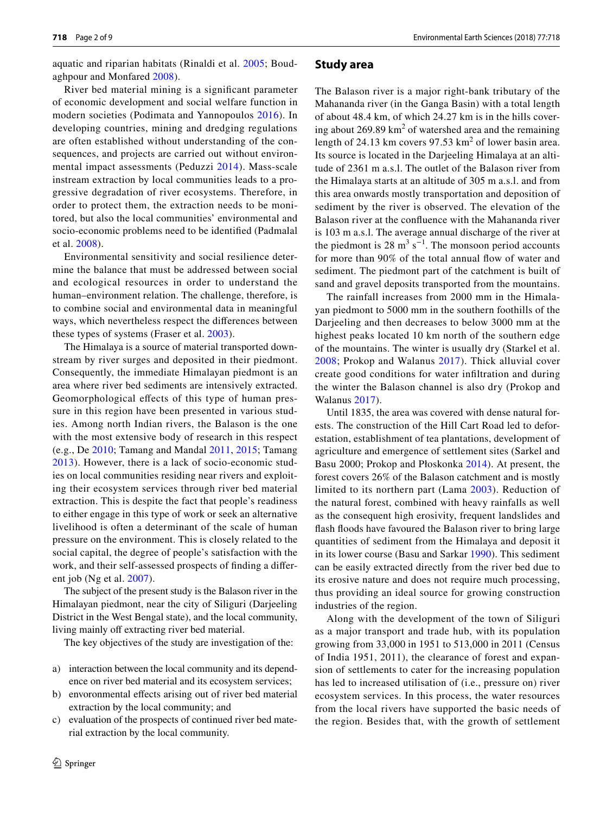Environmental Earth Sciences (2018) 77:718

aquatic and riparian habitats (Rinaldi et al. [2005](#page-8-13); Boudaghpour and Monfared [2008](#page-8-14)).

River bed material mining is a significant parameter of economic development and social welfare function in modern societies (Podimata and Yannopoulos [2016](#page-8-15)). In developing countries, mining and dredging regulations are often established without understanding of the consequences, and projects are carried out without environmental impact assessments (Peduzzi [2014](#page-8-16)). Mass-scale instream extraction by local communities leads to a progressive degradation of river ecosystems. Therefore, in order to protect them, the extraction needs to be monitored, but also the local communities' environmental and socio-economic problems need to be identified (Padmalal et al. [2008\)](#page-8-17).

Environmental sensitivity and social resilience determine the balance that must be addressed between social and ecological resources in order to understand the human–environment relation. The challenge, therefore, is to combine social and environmental data in meaningful ways, which nevertheless respect the differences between these types of systems (Fraser et al. [2003](#page-8-18)).

The Himalaya is a source of material transported downstream by river surges and deposited in their piedmont. Consequently, the immediate Himalayan piedmont is an area where river bed sediments are intensively extracted. Geomorphological effects of this type of human pressure in this region have been presented in various studies. Among north Indian rivers, the Balason is the one with the most extensive body of research in this respect (e.g., De [2010](#page-8-19); Tamang and Mandal [2011](#page-8-20), [2015](#page-8-21); Tamang [2013\)](#page-8-22). However, there is a lack of socio-economic studies on local communities residing near rivers and exploiting their ecosystem services through river bed material extraction. This is despite the fact that people's readiness to either engage in this type of work or seek an alternative livelihood is often a determinant of the scale of human pressure on the environment. This is closely related to the social capital, the degree of people's satisfaction with the work, and their self-assessed prospects of finding a different job (Ng et al. [2007\)](#page-8-23).

The subject of the present study is the Balason river in the Himalayan piedmont, near the city of Siliguri (Darjeeling District in the West Bengal state), and the local community, living mainly off extracting river bed material.

The key objectives of the study are investigation of the:

- a) interaction between the local community and its dependence on river bed material and its ecosystem services;
- b) envoronmental effects arising out of river bed material extraction by the local community; and
- c) evaluation of the prospects of continued river bed material extraction by the local community.

#### **Study area**

The Balason river is a major right-bank tributary of the Mahananda river (in the Ganga Basin) with a total length of about 48.4 km, of which 24.27 km is in the hills covering about  $269.89 \text{ km}^2$  of watershed area and the remaining length of 24.13 km covers  $97.53 \text{ km}^2$  of lower basin area. Its source is located in the Darjeeling Himalaya at an altitude of 2361 m a.s.l. The outlet of the Balason river from the Himalaya starts at an altitude of 305 m a.s.l. and from this area onwards mostly transportation and deposition of sediment by the river is observed. The elevation of the Balason river at the confluence with the Mahananda river is 103 m a.s.l. The average annual discharge of the river at the piedmont is  $28 \text{ m}^3 \text{ s}^{-1}$ . The monsoon period accounts for more than 90% of the total annual flow of water and sediment. The piedmont part of the catchment is built of sand and gravel deposits transported from the mountains.

The rainfall increases from 2000 mm in the Himalayan piedmont to 5000 mm in the southern foothills of the Darjeeling and then decreases to below 3000 mm at the highest peaks located 10 km north of the southern edge of the mountains. The winter is usually dry (Starkel et al. [2008](#page-8-24); Prokop and Walanus [2017\)](#page-8-25). Thick alluvial cover create good conditions for water infiltration and during the winter the Balason channel is also dry (Prokop and Walanus [2017](#page-8-25)).

Until 1835, the area was covered with dense natural forests. The construction of the Hill Cart Road led to deforestation, establishment of tea plantations, development of agriculture and emergence of settlement sites (Sarkel and Basu 2000; Prokop and Płoskonka [2014\)](#page-8-26). At present, the forest covers 26% of the Balason catchment and is mostly limited to its northern part (Lama [2003\)](#page-8-27). Reduction of the natural forest, combined with heavy rainfalls as well as the consequent high erosivity, frequent landslides and flash floods have favoured the Balason river to bring large quantities of sediment from the Himalaya and deposit it in its lower course (Basu and Sarkar [1990\)](#page-7-2). This sediment can be easily extracted directly from the river bed due to its erosive nature and does not require much processing, thus providing an ideal source for growing construction industries of the region.

Along with the development of the town of Siliguri as a major transport and trade hub, with its population growing from 33,000 in 1951 to 513,000 in 2011 (Census of India 1951, 2011), the clearance of forest and expansion of settlements to cater for the increasing population has led to increased utilisation of (i.e., pressure on) river ecosystem services. In this process, the water resources from the local rivers have supported the basic needs of the region. Besides that, with the growth of settlement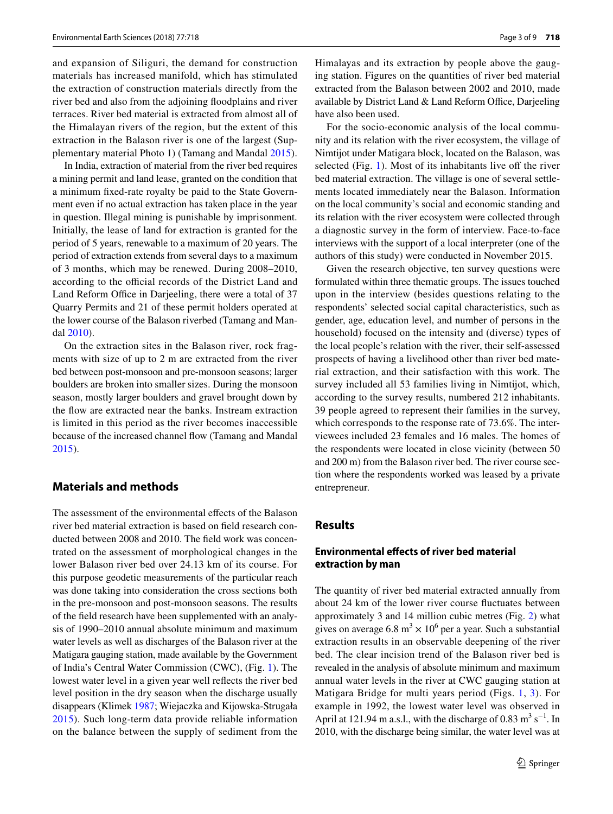and expansion of Siliguri, the demand for construction materials has increased manifold, which has stimulated the extraction of construction materials directly from the river bed and also from the adjoining floodplains and river terraces. River bed material is extracted from almost all of the Himalayan rivers of the region, but the extent of this extraction in the Balason river is one of the largest (Supplementary material Photo 1) (Tamang and Mandal [2015](#page-8-21)).

In India, extraction of material from the river bed requires a mining permit and land lease, granted on the condition that a minimum fixed-rate royalty be paid to the State Government even if no actual extraction has taken place in the year in question. Illegal mining is punishable by imprisonment. Initially, the lease of land for extraction is granted for the period of 5 years, renewable to a maximum of 20 years. The period of extraction extends from several days to a maximum of 3 months, which may be renewed. During 2008–2010, according to the official records of the District Land and Land Reform Office in Darjeeling, there were a total of 37 Quarry Permits and 21 of these permit holders operated at the lower course of the Balason riverbed (Tamang and Mandal [2010](#page-8-28)).

On the extraction sites in the Balason river, rock fragments with size of up to 2 m are extracted from the river bed between post-monsoon and pre-monsoon seasons; larger boulders are broken into smaller sizes. During the monsoon season, mostly larger boulders and gravel brought down by the flow are extracted near the banks. Instream extraction is limited in this period as the river becomes inaccessible because of the increased channel flow (Tamang and Mandal [2015](#page-8-21)).

## **Materials and methods**

The assessment of the environmental effects of the Balason river bed material extraction is based on field research conducted between 2008 and 2010. The field work was concentrated on the assessment of morphological changes in the lower Balason river bed over 24.13 km of its course. For this purpose geodetic measurements of the particular reach was done taking into consideration the cross sections both in the pre-monsoon and post-monsoon seasons. The results of the field research have been supplemented with an analysis of 1990–2010 annual absolute minimum and maximum water levels as well as discharges of the Balason river at the Matigara gauging station, made available by the Government of India's Central Water Commission (CWC), (Fig. [1](#page-3-0)). The lowest water level in a given year well reflects the river bed level position in the dry season when the discharge usually disappears (Klimek [1987](#page-8-29); Wiejaczka and Kijowska-Strugała [2015\)](#page-8-30). Such long-term data provide reliable information on the balance between the supply of sediment from the

Himalayas and its extraction by people above the gauging station. Figures on the quantities of river bed material extracted from the Balason between 2002 and 2010, made available by District Land & Land Reform Office, Darjeeling have also been used.

For the socio-economic analysis of the local community and its relation with the river ecosystem, the village of Nimtijot under Matigara block, located on the Balason, was selected (Fig. [1](#page-3-0)). Most of its inhabitants live off the river bed material extraction. The village is one of several settlements located immediately near the Balason. Information on the local community's social and economic standing and its relation with the river ecosystem were collected through a diagnostic survey in the form of interview. Face-to-face interviews with the support of a local interpreter (one of the authors of this study) were conducted in November 2015.

Given the research objective, ten survey questions were formulated within three thematic groups. The issues touched upon in the interview (besides questions relating to the respondents' selected social capital characteristics, such as gender, age, education level, and number of persons in the household) focused on the intensity and (diverse) types of the local people's relation with the river, their self-assessed prospects of having a livelihood other than river bed material extraction, and their satisfaction with this work. The survey included all 53 families living in Nimtijot, which, according to the survey results, numbered 212 inhabitants. 39 people agreed to represent their families in the survey, which corresponds to the response rate of 73.6%. The interviewees included 23 females and 16 males. The homes of the respondents were located in close vicinity (between 50 and 200 m) from the Balason river bed. The river course section where the respondents worked was leased by a private entrepreneur.

#### **Results**

#### **Environmental effects of river bed material extraction by man**

The quantity of river bed material extracted annually from about 24 km of the lower river course fluctuates between approximately 3 and 14 million cubic metres (Fig. [2](#page-3-1)) what gives on average  $6.8 \text{ m}^3 \times 10^6$  per a year. Such a substantial extraction results in an observable deepening of the river bed. The clear incision trend of the Balason river bed is revealed in the analysis of absolute minimum and maximum annual water levels in the river at CWC gauging station at Matigara Bridge for multi years period (Figs. [1,](#page-3-0) [3](#page-4-0)). For example in 1992, the lowest water level was observed in April at 121.94 m a.s.l., with the discharge of 0.83 m<sup>3</sup> s<sup>-1</sup>. In 2010, with the discharge being similar, the water level was at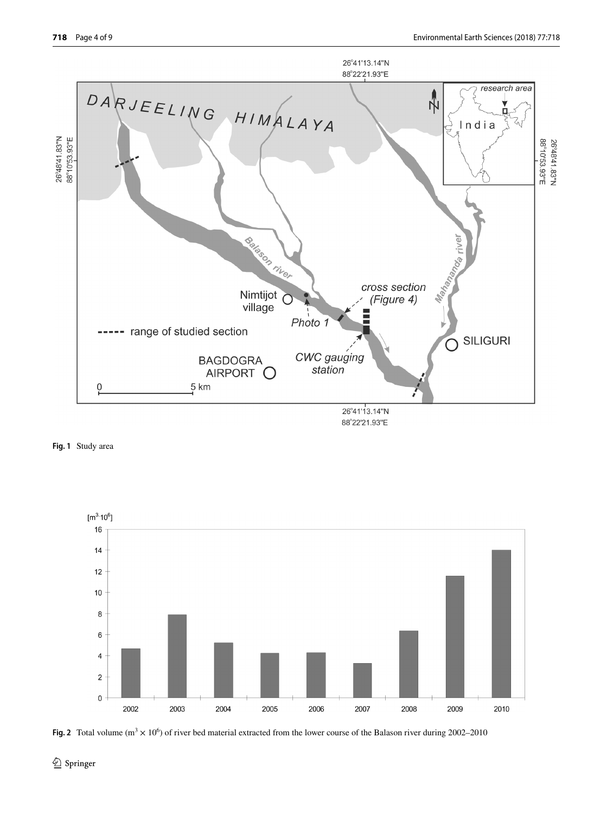

#### <span id="page-3-0"></span>**Fig. 1** Study area



<span id="page-3-1"></span>**Fig. 2** Total volume  $(m^3 \times 10^6)$  of river bed material extracted from the lower course of the Balason river during 2002–2010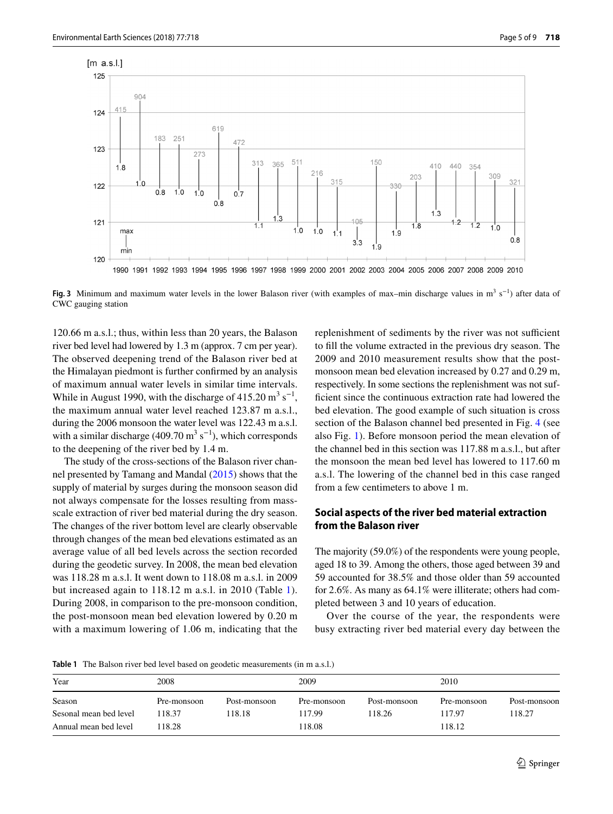

<span id="page-4-0"></span>**Fig.** 3 Minimum and maximum water levels in the lower Balason river (with examples of max–min discharge values in m<sup>3</sup> s<sup>−1</sup>) after data of CWC gauging station

120.66 m a.s.l.; thus, within less than 20 years, the Balason river bed level had lowered by 1.3 m (approx. 7 cm per year). The observed deepening trend of the Balason river bed at the Himalayan piedmont is further confirmed by an analysis of maximum annual water levels in similar time intervals. While in August 1990, with the discharge of 415.20  $\text{m}^3 \text{ s}^{-1}$ , the maximum annual water level reached 123.87 m a.s.l., during the 2006 monsoon the water level was 122.43 m a.s.l. with a similar discharge (409.70  $\text{m}^3$  s<sup>-1</sup>), which corresponds to the deepening of the river bed by 1.4 m.

The study of the cross-sections of the Balason river channel presented by Tamang and Mandal ([2015\)](#page-8-21) shows that the supply of material by surges during the monsoon season did not always compensate for the losses resulting from massscale extraction of river bed material during the dry season. The changes of the river bottom level are clearly observable through changes of the mean bed elevations estimated as an average value of all bed levels across the section recorded during the geodetic survey. In 2008, the mean bed elevation was 118.28 m a.s.l. It went down to 118.08 m a.s.l. in 2009 but increased again to 118.12 m a.s.l. in 2010 (Table [1](#page-4-1)). During 2008, in comparison to the pre-monsoon condition, the post-monsoon mean bed elevation lowered by 0.20 m with a maximum lowering of 1.06 m, indicating that the replenishment of sediments by the river was not sufficient to fill the volume extracted in the previous dry season. The 2009 and 2010 measurement results show that the postmonsoon mean bed elevation increased by 0.27 and 0.29 m, respectively. In some sections the replenishment was not sufficient since the continuous extraction rate had lowered the bed elevation. The good example of such situation is cross section of the Balason channel bed presented in Fig. [4](#page-5-0) (see also Fig. [1](#page-3-0)). Before monsoon period the mean elevation of the channel bed in this section was 117.88 m a.s.l., but after the monsoon the mean bed level has lowered to 117.60 m a.s.l. The lowering of the channel bed in this case ranged from a few centimeters to above 1 m.

#### **Social aspects of the river bed material extraction from the Balason river**

The majority (59.0%) of the respondents were young people, aged 18 to 39. Among the others, those aged between 39 and 59 accounted for 38.5% and those older than 59 accounted for 2.6%. As many as 64.1% were illiterate; others had completed between 3 and 10 years of education.

Over the course of the year, the respondents were busy extracting river bed material every day between the

<span id="page-4-1"></span>**Table 1** The Balson river bed level based on geodetic measurements (in m a.s.l.)

| Year                   | 2008        |              | 2009        |              | 2010        |              |
|------------------------|-------------|--------------|-------------|--------------|-------------|--------------|
| Season                 | Pre-monsoon | Post-monsoon | Pre-monsoon | Post-monsoon | Pre-monsoon | Post-monsoon |
| Sesonal mean bed level | 118.37      | 118.18       | 117.99      | 118.26       | 117.97      | 18.27        |
| Annual mean bed level  | 18.28       |              | 118.08      |              | 118.12      |              |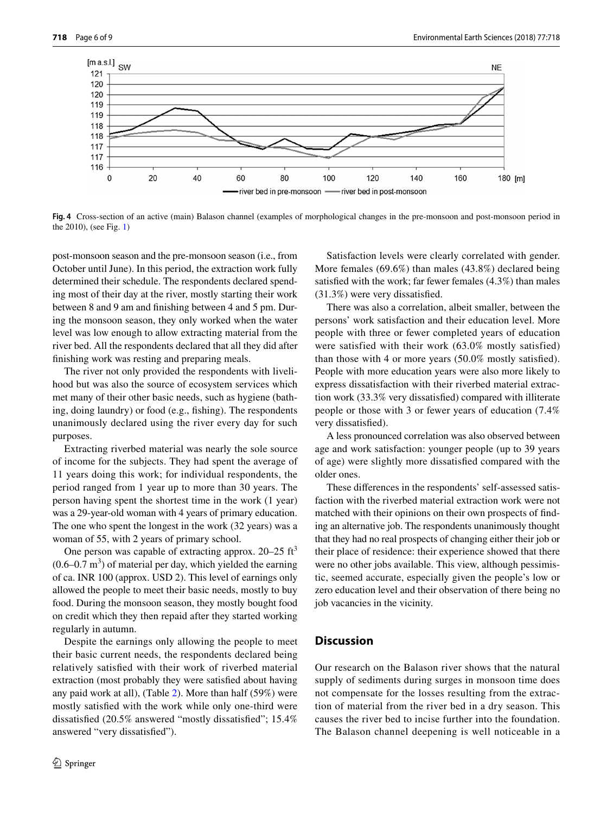

<span id="page-5-0"></span>**Fig. 4** Cross-section of an active (main) Balason channel (examples of morphological changes in the pre-monsoon and post-monsoon period in the 2010), (see Fig. [1](#page-3-0))

post-monsoon season and the pre-monsoon season (i.e., from October until June). In this period, the extraction work fully determined their schedule. The respondents declared spending most of their day at the river, mostly starting their work between 8 and 9 am and finishing between 4 and 5 pm. During the monsoon season, they only worked when the water level was low enough to allow extracting material from the river bed. All the respondents declared that all they did after finishing work was resting and preparing meals.

The river not only provided the respondents with livelihood but was also the source of ecosystem services which met many of their other basic needs, such as hygiene (bathing, doing laundry) or food (e.g., fishing). The respondents unanimously declared using the river every day for such purposes.

Extracting riverbed material was nearly the sole source of income for the subjects. They had spent the average of 11 years doing this work; for individual respondents, the period ranged from 1 year up to more than 30 years. The person having spent the shortest time in the work (1 year) was a 29-year-old woman with 4 years of primary education. The one who spent the longest in the work (32 years) was a woman of 55, with 2 years of primary school.

One person was capable of extracting approx.  $20-25$  ft<sup>3</sup>  $(0.6-0.7 \text{ m}^3)$  of material per day, which yielded the earning of ca. INR 100 (approx. USD 2). This level of earnings only allowed the people to meet their basic needs, mostly to buy food. During the monsoon season, they mostly bought food on credit which they then repaid after they started working regularly in autumn.

Despite the earnings only allowing the people to meet their basic current needs, the respondents declared being relatively satisfied with their work of riverbed material extraction (most probably they were satisfied about having any paid work at all), (Table [2](#page-6-0)). More than half (59%) were mostly satisfied with the work while only one-third were dissatisfied (20.5% answered "mostly dissatisfied"; 15.4% answered "very dissatisfied").

Satisfaction levels were clearly correlated with gender. More females (69.6%) than males (43.8%) declared being satisfied with the work; far fewer females (4.3%) than males (31.3%) were very dissatisfied.

There was also a correlation, albeit smaller, between the persons' work satisfaction and their education level. More people with three or fewer completed years of education were satisfied with their work (63.0% mostly satisfied) than those with 4 or more years (50.0% mostly satisfied). People with more education years were also more likely to express dissatisfaction with their riverbed material extraction work (33.3% very dissatisfied) compared with illiterate people or those with 3 or fewer years of education (7.4% very dissatisfied).

A less pronounced correlation was also observed between age and work satisfaction: younger people (up to 39 years of age) were slightly more dissatisfied compared with the older ones.

These differences in the respondents' self-assessed satisfaction with the riverbed material extraction work were not matched with their opinions on their own prospects of finding an alternative job. The respondents unanimously thought that they had no real prospects of changing either their job or their place of residence: their experience showed that there were no other jobs available. This view, although pessimistic, seemed accurate, especially given the people's low or zero education level and their observation of there being no job vacancies in the vicinity.

## **Discussion**

Our research on the Balason river shows that the natural supply of sediments during surges in monsoon time does not compensate for the losses resulting from the extraction of material from the river bed in a dry season. This causes the river bed to incise further into the foundation. The Balason channel deepening is well noticeable in a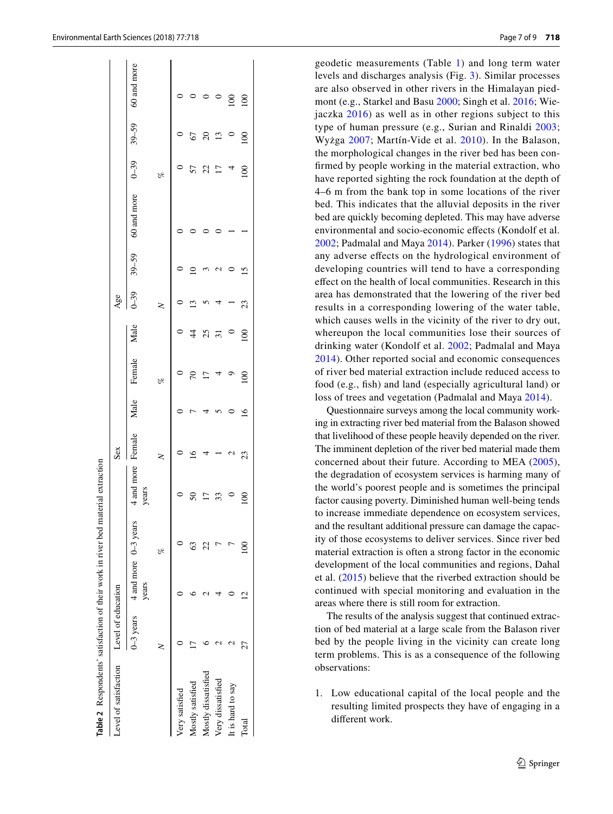| Level of satisfaction Level of education |    |                                             |     |                            | Sex            |                |                 |               | Age      |           |             |                 |           |                 |
|------------------------------------------|----|---------------------------------------------|-----|----------------------------|----------------|----------------|-----------------|---------------|----------|-----------|-------------|-----------------|-----------|-----------------|
|                                          |    | $0-3$ years 4 and more $0-3$ years<br>years |     | 4 and more Female<br>years |                | Male           | Female          | Male          | $0 - 39$ | $39 - 59$ | 60 and more | $0 - 39$        | $39 - 59$ | 60 and more     |
|                                          |    |                                             | olo |                            | $\geq$         |                | be              |               | $\geq$   |           |             | be              |           |                 |
| Very satisfied                           |    |                                             |     |                            |                |                |                 |               |          |           |             |                 |           |                 |
| Mostly satisfied                         |    |                                             | E   | $\overline{50}$            |                |                | 70              | $\frac{4}{4}$ | ≌        |           |             |                 | 67        |                 |
| Mostly dissatisfied                      |    |                                             |     |                            |                |                | $\overline{17}$ | 25            |          |           |             | 22              | $\Omega$  |                 |
| Very dissatisfied                        |    |                                             |     |                            |                |                |                 | 51            |          |           |             |                 | 13        |                 |
| It is hard to say                        |    |                                             |     |                            | $\overline{1}$ |                | $\circ$         |               |          |           |             |                 | $\circ$   | $\overline{00}$ |
| Total                                    | 27 |                                             |     | $\infty$                   | 23             | $\overline{6}$ | $\overline{0}$  | $\approx$     | 23       | ŋ         |             | $\overline{00}$ | $\approx$ | 100             |
|                                          |    |                                             |     |                            |                |                |                 |               |          |           |             |                 |           |                 |

**Table 2** Respondents' satisfaction of their work in river bed material extraction

Table 2 Respondents' satisfaction of their work in river bed material extraction

geodetic measurements (Table [1](#page-4-1)) and long term water levels and discharges analysis (Fig. [3\)](#page-4-0). Similar processes are also observed in other rivers in the Himalayan piedmont (e.g., Starkel and Basu [2000;](#page-8-31) Singh et al. [2016;](#page-8-32) Wiejaczka [2016](#page-8-33)) as well as in other regions subject to this type of human pressure (e.g., Surian and Rinaldi [2003](#page-8-34); Wyżga [2007](#page-8-35); Martín-Vide et al. [2010\)](#page-8-36). In the Balason, the morphological changes in the river bed has been confirmed by people working in the material extraction, who have reported sighting the rock foundation at the depth of 4–6 m from the bank top in some locations of the river bed. This indicates that the alluvial deposits in the river bed are quickly becoming depleted. This may have adverse environmental and socio-economic effects (Kondolf et al. [2002;](#page-8-37) Padmalal and Maya [2014\)](#page-8-38). Parker ([1996](#page-8-39)) states that any adverse effects on the hydrological environment of developing countries will tend to have a corresponding effect on the health of local communities. Research in this area has demonstrated that the lowering of the river bed results in a corresponding lowering of the water table, which causes wells in the vicinity of the river to dry out, whereupon the local communities lose their sources of drinking water (Kondolf et al. [2002;](#page-8-37) Padmalal and Maya [2014\)](#page-8-38). Other reported social and economic consequences of river bed material extraction include reduced access to food (e.g., fish) and land (especially agricultural land) or loss of trees and vegetation (Padmalal and Maya [2014\)](#page-8-38).

Questionnaire surveys among the local community working in extracting river bed material from the Balason showed that livelihood of these people heavily depended on the river. The imminent depletion of the river bed material made them concerned about their future. According to MEA ([2005](#page-8-2)), the degradation of ecosystem services is harming many of the world's poorest people and is sometimes the principal factor causing poverty. Diminished human well-being tends to increase immediate dependence on ecosystem services, and the resultant additional pressure can damage the capacity of those ecosystems to deliver services. Since river bed material extraction is often a strong factor in the economic development of the local communities and regions, Dahal et al. [\(2015\)](#page-8-40) believe that the riverbed extraction should be continued with special monitoring and evaluation in the areas where there is still room for extraction.

The results of the analysis suggest that continued extraction of bed material at a large scale from the Balason river bed by the people living in the vicinity can create long term problems. This is as a consequence of the following observations:

<span id="page-6-0"></span>1. Low educational capital of the local people and the resulting limited prospects they have of engaging in a different work.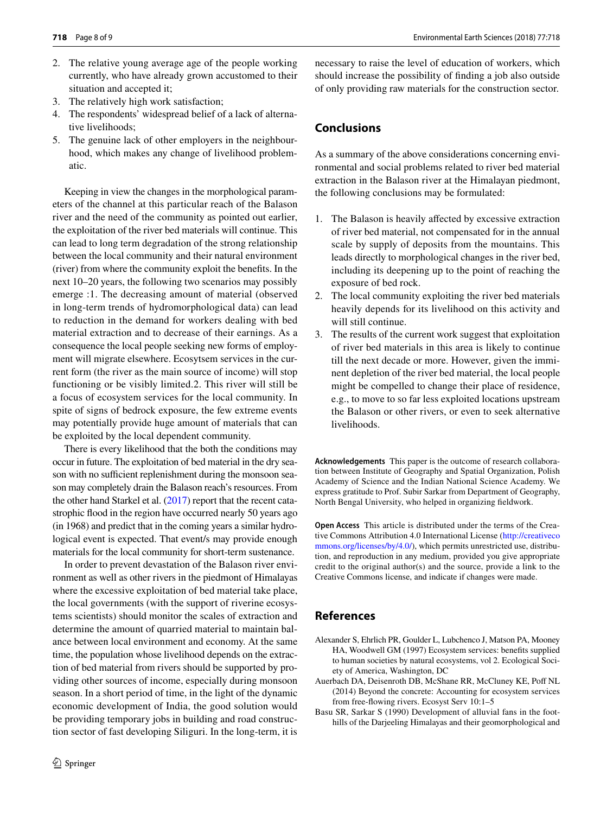- 2. The relative young average age of the people working currently, who have already grown accustomed to their situation and accepted it;
- 3. The relatively high work satisfaction;
- 4. The respondents' widespread belief of a lack of alternative livelihoods;
- 5. The genuine lack of other employers in the neighbourhood, which makes any change of livelihood problematic.

Keeping in view the changes in the morphological parameters of the channel at this particular reach of the Balason river and the need of the community as pointed out earlier, the exploitation of the river bed materials will continue. This can lead to long term degradation of the strong relationship between the local community and their natural environment (river) from where the community exploit the benefits. In the next 10–20 years, the following two scenarios may possibly emerge :1. The decreasing amount of material (observed in long-term trends of hydromorphological data) can lead to reduction in the demand for workers dealing with bed material extraction and to decrease of their earnings. As a consequence the local people seeking new forms of employment will migrate elsewhere. Ecosytsem services in the current form (the river as the main source of income) will stop functioning or be visibly limited.2. This river will still be a focus of ecosystem services for the local community. In spite of signs of bedrock exposure, the few extreme events may potentially provide huge amount of materials that can be exploited by the local dependent community.

There is every likelihood that the both the conditions may occur in future. The exploitation of bed material in the dry season with no sufficient replenishment during the monsoon season may completely drain the Balason reach's resources. From the other hand Starkel et al. [\(2017\)](#page-8-41) report that the recent catastrophic flood in the region have occurred nearly 50 years ago (in 1968) and predict that in the coming years a similar hydrological event is expected. That event/s may provide enough materials for the local community for short-term sustenance.

In order to prevent devastation of the Balason river environment as well as other rivers in the piedmont of Himalayas where the excessive exploitation of bed material take place, the local governments (with the support of riverine ecosystems scientists) should monitor the scales of extraction and determine the amount of quarried material to maintain balance between local environment and economy. At the same time, the population whose livelihood depends on the extraction of bed material from rivers should be supported by providing other sources of income, especially during monsoon season. In a short period of time, in the light of the dynamic economic development of India, the good solution would be providing temporary jobs in building and road construction sector of fast developing Siliguri. In the long-term, it is necessary to raise the level of education of workers, which should increase the possibility of finding a job also outside of only providing raw materials for the construction sector.

# **Conclusions**

As a summary of the above considerations concerning environmental and social problems related to river bed material extraction in the Balason river at the Himalayan piedmont, the following conclusions may be formulated:

- 1. The Balason is heavily affected by excessive extraction of river bed material, not compensated for in the annual scale by supply of deposits from the mountains. This leads directly to morphological changes in the river bed, including its deepening up to the point of reaching the exposure of bed rock.
- 2. The local community exploiting the river bed materials heavily depends for its livelihood on this activity and will still continue.
- 3. The results of the current work suggest that exploitation of river bed materials in this area is likely to continue till the next decade or more. However, given the imminent depletion of the river bed material, the local people might be compelled to change their place of residence, e.g., to move to so far less exploited locations upstream the Balason or other rivers, or even to seek alternative livelihoods.

**Acknowledgements** This paper is the outcome of research collaboration between Institute of Geography and Spatial Organization, Polish Academy of Science and the Indian National Science Academy. We express gratitude to Prof. Subir Sarkar from Department of Geography, North Bengal University, who helped in organizing fieldwork.

**Open Access** This article is distributed under the terms of the Creative Commons Attribution 4.0 International License ([http://creativeco](http://creativecommons.org/licenses/by/4.0/) [mmons.org/licenses/by/4.0/](http://creativecommons.org/licenses/by/4.0/)), which permits unrestricted use, distribution, and reproduction in any medium, provided you give appropriate credit to the original author(s) and the source, provide a link to the Creative Commons license, and indicate if changes were made.

# **References**

- <span id="page-7-0"></span>Alexander S, Ehrlich PR, Goulder L, Lubchenco J, Matson PA, Mooney HA, Woodwell GM (1997) Ecosystem services: benefits supplied to human societies by natural ecosystems, vol 2. Ecological Society of America, Washington, DC
- <span id="page-7-1"></span>Auerbach DA, Deisenroth DB, McShane RR, McCluney KE, Poff NL (2014) Beyond the concrete: Accounting for ecosystem services from free-flowing rivers. Ecosyst Serv 10:1–5
- <span id="page-7-2"></span>Basu SR, Sarkar S (1990) Development of alluvial fans in the foothills of the Darjeeling Himalayas and their geomorphological and